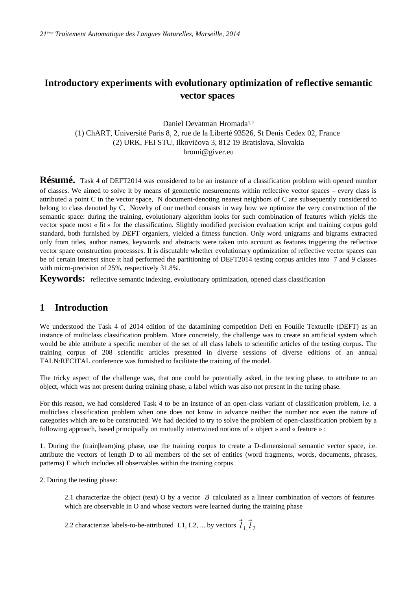# **Introductory experiments with evolutionary optimization of reflective semantic vector spaces**

### Daniel Devatman Hromada<sup>1,2</sup> (1) ChART, Université Paris 8, 2, rue de la Liberté 93526, St Denis Cedex 02, France (2) URK, FEI STU, Ilkovičova 3, 812 19 Bratislava, Slovakia hromi@giver.eu

**Résumé.** Task 4 of DEFT2014 was considered to be an instance of a classification problem with opened number of classes. We aimed to solve it by means of geometric mesurements within reflective vector spaces – every class is attributed a point C in the vector space, N document-denoting nearest neighbors of C are subsequently considered to belong to class denoted by C. Novelty of our method consists in way how we optimize the very construction of the semantic space: during the training, evolutionary algorithm looks for such combination of features which yields the vector space most « fit » for the classification. Slightly modified precision evaluation script and training corpus gold standard, both furnished by DEFT organiers, yielded a fitness function. Only word unigrams and bigrams extracted only from titles, author names, keywords and abstracts were taken into account as features triggering the reflective vector space construction processses. It is discutable whether evolutionary optimization of reflective vector spaces can be of certain interest since it had performed the partitioning of DEFT2014 testing corpus articles into 7 and 9 classes with micro-precision of 25%, respectively 31.8%.

Keywords: reflective semantic indexing, evolutionary optimization, opened class classification

## **1 Introduction**

We understood the Task 4 of 2014 edition of the datamining competition Defi en Fouille Textuelle (DEFT) as an instance of multiclass classification problem. More concretely, the challenge was to create an artificial system which would be able attribute a specific member of the set of all class labels to scientific articles of the testing corpus. The training corpus of 208 scientific articles presented in diverse sessions of diverse editions of an annual TALN/RECITAL conference was furnished to facilitate the training of the model.

The tricky aspect of the challenge was, that one could be potentially asked, in the testing phase, to attribute to an object, which was not present during training phase, a label which was also not present in the turing phase.

For this reason, we had considered Task 4 to be an instance of an open-class variant of classification problem, i.e. a multiclass classification problem when one does not know in advance neither the number nor even the nature of categories which are to be constructed. We had decided to try to solve the problem of open-classification problem by a following approach, based principially on mutually intertwined notions of « object » and « feature » :

1. During the (train|learn)ing phase, use the training corpus to create a D-dimensional semantic vector space, i.e. attribute the vectors of length D to all members of the set of entities (word fragments, words, documents, phrases, patterns) E which includes all observables within the training corpus

2. During the testing phase:

2.1 characterize the object (text) O by a vector  $\vec{\sigma}$  calculated as a linear combination of vectors of features which are observable in O and whose vectors were learned during the training phase

2.2 characterize labels-to-be-attributed L1, L2, ... by vectors  $\vec{l}_{1}$ ,  $\vec{l}_{2}$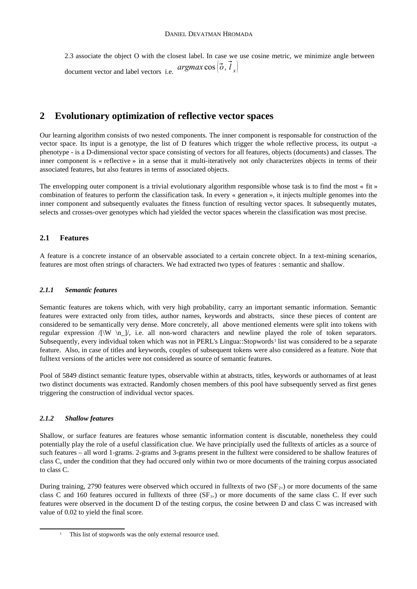2.3 associate the object O with the closest label. In case we use cosine metric, we minimize angle between document vector and label vectors i.e. *argmax*  $\cos(\vec{\sigma}, \vec{l}_x)$ 

## **2 Evolutionary optimization of reflective vector spaces**

Our learning algorithm consists of two nested components. The inner component is responsable for construction of the vector space. Its input is a genotype, the list of D features which trigger the whole reflective process, its output -a phenotype - is a D-dimensional vector space consisting of vectors for all features, objects (documents) and classes. The inner component is « reflective » in a sense that it multi-iteratively not only characterizes objects in terms of their associated features, but also features in terms of associated objects.

The envelopping outer component is a trivial evolutionary algorithm responsible whose task is to find the most « fit » combination of features to perform the classification task. In every « generation », it injects multiple genomes into the inner component and subsequently evaluates the fitness function of resulting vector spaces. It subsequently mutates, selects and crosses-over genotypes which had yielded the vector spaces wherein the classification was most precise.

### **2.1 Features**

A feature is a concrete instance of an observable associated to a certain concrete object. In a text-mining scenarios, features are most often strings of characters. We had extracted two types of features : semantic and shallow.

#### *2.1.1 Semantic features*

Semantic features are tokens which, with very high probability, carry an important semantic information. Semantic features were extracted only from titles, author names, keywords and abstracts, since these pieces of content are considered to be semantically very dense. More concretely, all above mentioned elements were split into tokens with regular expression  $/|\mathbf{W} \rangle$  |/, i.e. all non-word characters and newline played the role of token separators. Subsequently, every individual token which was not in PERL's Lingua::Stopwords<sup>[1](#page-1-0)</sup> list was considered to be a separate feature. Also, in case of titles and keywords, couples of subsequent tokens were also considered as a feature. Note that fulltext versions of the articles were not considered as source of semantic features.

Pool of 5849 distinct semantic feature types, observable within at abstracts, titles, keywords or authornames of at least two distinct documents was extracted. Randomly chosen members of this pool have subsequently served as first genes triggering the construction of individual vector spaces.

#### *2.1.2 Shallow features*

Shallow, or surface features are features whose semantic information content is discutable, nonetheless they could potentially play the role of a useful classification clue. We have principially used the fulltexts of articles as a source of such features – all word 1-grams. 2-grams and 3-grams present in the fulltext were considered to be shallow features of class C, under the condition that they had occured only within two or more documents of the training corpus associated to class C.

During training, 2790 features were observed which occured in fulltexts of two  $(SF_{2+})$  or more documents of the same class C and 160 features occured in fulltexts of three  $(SF_{3+})$  or more documents of the same class C. If ever such features were observed in the document D of the testing corpus, the cosine between D and class C was increased with value of 0.02 to yield the final score.

<span id="page-1-0"></span>This list of stopwords was the only external resource used.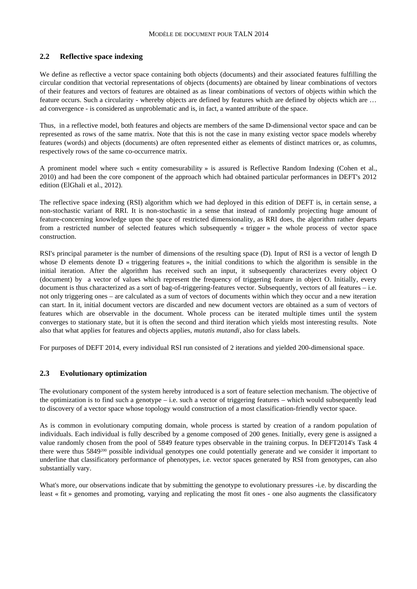#### **2.2 Reflective space indexing**

We define as reflective a vector space containing both objects (documents) and their associated features fulfilling the circular condition that vectorial representations of objects (documents) are obtained by linear combinations of vectors of their features and vectors of features are obtained as as linear combinations of vectors of objects within which the feature occurs. Such a circularity - whereby objects are defined by features which are defined by objects which are … ad convergence - is considered as unproblematic and is, in fact, a wanted attribute of the space.

Thus, in a reflective model, both features and objects are members of the same D-dimensional vector space and can be represented as rows of the same matrix. Note that this is not the case in many existing vector space models whereby features (words) and objects (documents) are often represented either as elements of distinct matrices or, as columns, respectively rows of the same co-occurrence matrix.

A prominent model where such « entity comesurability » is assured is Reflective Random Indexing (Cohen et al., 2010) and had been the core component of the approach which had obtained particular performances in DEFT's 2012 edition (ElGhali et al., 2012).

The reflective space indexing (RSI) algorithm which we had deployed in this edition of DEFT is, in certain sense, a non-stochastic variant of RRI. It is non-stochastic in a sense that instead of randomly projecting huge amount of feature-concerning knowledge upon the space of restricted dimensionality, as RRI does, the algorithm rather departs from a restricted number of selected features which subsequently « trigger » the whole process of vector space construction.

RSI's principal parameter is the number of dimensions of the resulting space (D). Input of RSI is a vector of length D whose D elements denote D « triggering features », the initial conditions to which the algorithm is sensible in the initial iteration. After the algorithm has received such an input, it subsequently characterizes every object O (document) by a vector of values which represent the frequency of triggering feature in object O. Initially, every document is thus characterized as a sort of bag-of-triggering-features vector. Subsequently, vectors of all features – i.e. not only triggering ones – are calculated as a sum of vectors of documents within which they occur and a new iteration can start. In it, initial document vectors are discarded and new document vectors are obtained as a sum of vectors of features which are observable in the document. Whole process can be iterated multiple times until the system converges to stationary state, but it is often the second and third iteration which yields most interesting results. Note also that what applies for features and objects applies, *mutatis mutandi*, also for class labels.

For purposes of DEFT 2014, every individual RSI run consisted of 2 iterations and yielded 200-dimensional space.

#### **2.3 Evolutionary optimization**

The evolutionary component of the system hereby introduced is a sort of feature selection mechanism. The objective of the optimization is to find such a genotype – i.e. such a vector of triggering features – which would subsequently lead to discovery of a vector space whose topology would construction of a most classification-friendly vector space.

As is common in evolutionary computing domain, whole process is started by creation of a random population of individuals. Each individual is fully described by a genome composed of 200 genes. Initially, every gene is assigned a value randomly chosen from the pool of 5849 feature types observable in the training corpus. In DEFT2014's Task 4 there were thus 5849200 possible individual genotypes one could potentially generate and we consider it important to underline that classificatory performance of phenotypes, i.e. vector spaces generated by RSI from genotypes, can also substantially vary.

What's more, our observations indicate that by submitting the genotype to evolutionary pressures -i.e. by discarding the least « fit » genomes and promoting, varying and replicating the most fit ones - one also augments the classificatory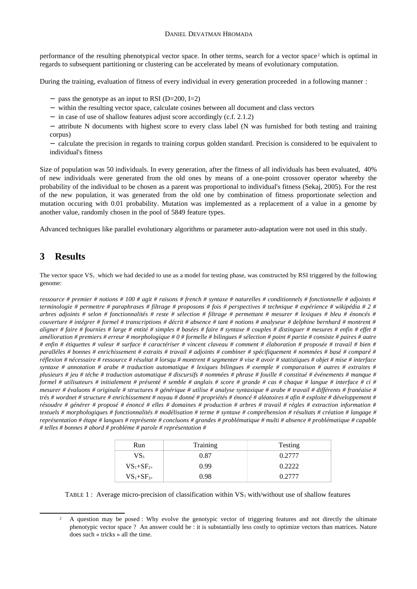performance of the resulting phenotypical vector space. In other terms, search for a vector space<sup>[2](#page-3-0)</sup> which is optimal in regards to subsequent partitioning or clustering can be accelerated by means of evolutionary computation.

During the training, evaluation of fitness of every individual in every generation proceeded in a following manner :

- − pass the genotype as an input to RSI (D=200, I=2)
- − within the resulting vector space, calculate cosines between all document and class vectors
- − in case of use of shallow features adjust score accordingly (c.f. 2.1.2)
- − attribute N documents with highest score to every class label (N was furnished for both testing and training corpus)
- − calculate the precision in regards to training corpus golden standard. Precision is considered to be equivalent to individual's fitness

Size of population was 50 individuals. In every generation, after the fitness of all individuals has been evaluated, 40% of new individuals were generated from the old ones by means of a one-point crossover operator whereby the probability of the individual to be chosen as a parent was proportional to individual's fitness (Sekaj, 2005). For the rest of the new population, it was generated from the old one by combination of fitness proportionate selection and mutation occuring with 0.01 probability. Mutation was implemented as a replacement of a value in a genome by another value, randomly chosen in the pool of 5849 feature types.

Advanced techniques like parallel evolutionary algorithms or parameter auto-adaptation were not used in this study.

# **3 Results**

The vector space  $VS<sub>1</sub>$ , which we had decided to use as a model for testing phase, was constructed by RSI triggered by the following genome:

*ressource # premier # notions # 100 # agit # raisons # french # syntaxe # naturelles # conditionnels # fonctionnelle # adjoints # terminologie # permettre # paraphrases # filtrage # proposons # fois # perspectives # technique # expérience # wikipédia # 2 # arbres adjoints # selon # fonctionnalités # reste # sélection # filtrage # permettant # mesurer # lexiques # bleu # énoncés # couverture # intégrer # formel # transcriptions # décrit # absence # tant # notions # analyseur # delphine bernhard # montrent # aligner # faire # fournies # large # entité # simples # basées # faire # syntaxe # couples # distinguer # mesures # enfin # effet # amélioration # premiers # erreur # morphologique # 0 # formelle # bilingues # sélection # point # partie # consiste # paires # autre # enfin # étiquettes # valeur # surface # caractériser # vincent claveau # comment # élaboration # proposée # travail # bien # paralléles # bonnes # enrichissement # extraits # travail # adjoints # combiner # spécifiquement # nommées # basé # comparé # réflexion # nécessaire # ressource # résultat # lorsqu # montrent # segmenter # vise # avoir # statistiques # objet # mise # interface syntaxe # annotation # arabe # traduction automatique # lexiques bilingues # exemple # comparaison # autres # extraites # plusieurs # jeu # téche # traduction automatique # discursifs # nommées # phrase # fouille # constitué # événements # manque # formel # utilisateurs # initialement # présenté # semble # anglais # score # grande # cas # chaque # langue # interface # ci # mesurer # évaluons # originale # structures # générique # utilise # analyse syntaxique # arabe # travail # différents # franéaise # trés # wordnet # structure # enrichissement # noyau # donné # propriétés # énoncé # aléatoires # afin # exploite # développement # résoudre # générer # proposé # énoncé # elles # domaines # production # arbres # travail # régles # extraction information # textuels # morphologiques # fonctionnalités # modélisation # terme # syntaxe # compréhension # résultats # création # langage # représentation # étape # langues # représente # concluons # grandes # problématique # multi # absence # problématique # capable # telles # bonnes # abord # probléme # parole # représentation #*

| Run              | Training | Testing |
|------------------|----------|---------|
| VS.              | 0.87     | 0.2777  |
| $VS_{1}+SF_{2+}$ | 0.99     | 0.2222  |
| $VS_1+SF_{3+}$   | 0.98     | 0.2777  |

TABLE 1 : Average micro-precision of classification within  $VS_1$  with/without use of shallow features

<span id="page-3-0"></span><sup>&</sup>lt;sup>2</sup> A question may be posed : Why evolve the genotypic vector of triggering features and not directly the ultimate phenotypic vector space ? An answer could be : it is substantially less costly to optimize vectors than matrices. Nature does such « tricks » all the time.